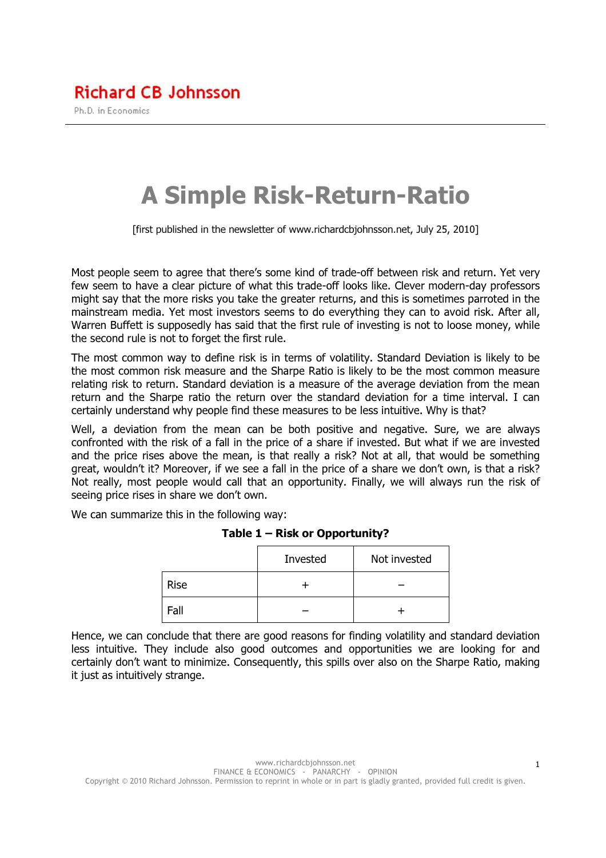## **Richard CB Johnsson**

Ph.D. in Economics

# A Simple Risk-Return-Ratio

[first published in the newsletter of www.richardcbjohnsson.net, July 25, 2010]

Most people seem to agree that there's some kind of trade-off between risk and return. Yet very few seem to have a clear picture of what this trade-off looks like. Clever modern-day professors might say that the more risks you take the greater returns, and this is sometimes parroted in the mainstream media. Yet most investors seems to do everything they can to avoid risk. After all, Warren Buffett is supposedly has said that the first rule of investing is not to loose money, while the second rule is not to forget the first rule.

The most common way to define risk is in terms of volatility. Standard Deviation is likely to be the most common risk measure and the Sharpe Ratio is likely to be the most common measure relating risk to return. Standard deviation is a measure of the average deviation from the mean return and the Sharpe ratio the return over the standard deviation for a time interval. I can certainly understand why people find these measures to be less intuitive. Why is that?

Well, a deviation from the mean can be both positive and negative. Sure, we are always confronted with the risk of a fall in the price of a share if invested. But what if we are invested and the price rises above the mean, is that really a risk? Not at all, that would be something great, wouldn't it? Moreover, if we see a fall in the price of a share we don't own, is that a risk? Not really, most people would call that an opportunity. Finally, we will always run the risk of seeing price rises in share we don't own.

We can summarize this in the following way:

|             | Invested | Not invested |
|-------------|----------|--------------|
| <b>Rise</b> |          |              |
| Fall        |          |              |

#### Table 1 – Risk or Opportunity?

Hence, we can conclude that there are good reasons for finding volatility and standard deviation less intuitive. They include also good outcomes and opportunities we are looking for and certainly don't want to minimize. Consequently, this spills over also on the Sharpe Ratio, making it just as intuitively strange.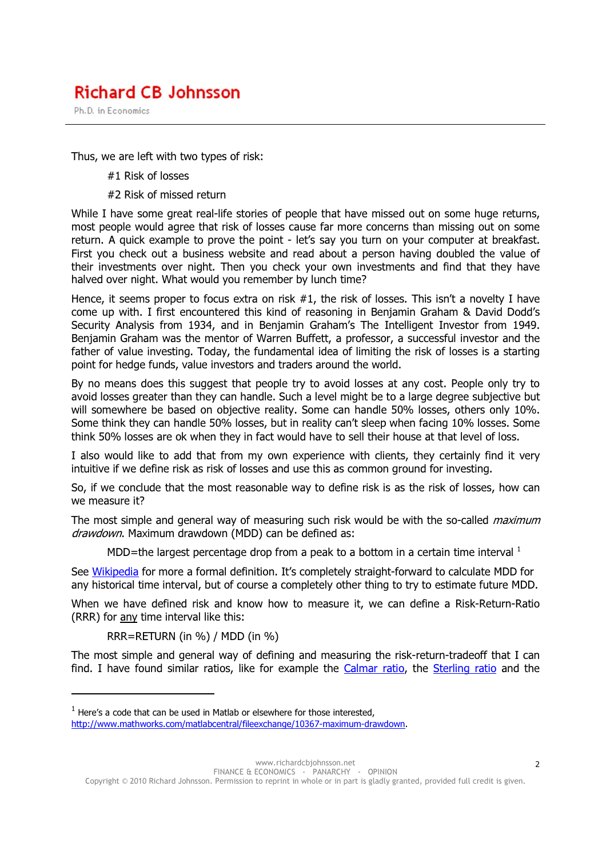## **Richard CB Johnsson**

Ph.D. in Economics

Thus, we are left with two types of risk:

- #1 Risk of losses
- #2 Risk of missed return

While I have some great real-life stories of people that have missed out on some huge returns, most people would agree that risk of losses cause far more concerns than missing out on some return. A quick example to prove the point - let's say you turn on your computer at breakfast. First you check out a business website and read about a person having doubled the value of their investments over night. Then you check your own investments and find that they have halved over night. What would you remember by lunch time?

Hence, it seems proper to focus extra on risk #1, the risk of losses. This isn't a novelty I have come up with. I first encountered this kind of reasoning in Benjamin Graham & David Dodd's Security Analysis from 1934, and in Benjamin Graham's The Intelligent Investor from 1949. Benjamin Graham was the mentor of Warren Buffett, a professor, a successful investor and the father of value investing. Today, the fundamental idea of limiting the risk of losses is a starting point for hedge funds, value investors and traders around the world.

By no means does this suggest that people try to avoid losses at any cost. People only try to avoid losses greater than they can handle. Such a level might be to a large degree subjective but will somewhere be based on objective reality. Some can handle 50% losses, others only 10%. Some think they can handle 50% losses, but in reality can't sleep when facing 10% losses. Some think 50% losses are ok when they in fact would have to sell their house at that level of loss.

I also would like to add that from my own experience with clients, they certainly find it very intuitive if we define risk as risk of losses and use this as common ground for investing.

So, if we conclude that the most reasonable way to define risk is as the risk of losses, how can we measure it?

The most simple and general way of measuring such risk would be with the so-called *maximum* drawdown. Maximum drawdown (MDD) can be defined as:

MDD=the largest percentage drop from a peak to a bottom in a certain time interval  $^1$ 

See Wikipedia for more a formal definition. It's completely straight-forward to calculate MDD for any historical time interval, but of course a completely other thing to try to estimate future MDD.

When we have defined risk and know how to measure it, we can define a Risk-Return-Ratio (RRR) for any time interval like this:

RRR=RETURN (in %) / MDD (in %)

 $\overline{a}$ 

The most simple and general way of defining and measuring the risk-return-tradeoff that I can find. I have found similar ratios, like for example the Calmar ratio, the Sterling ratio and the

www.richardcbjohnsson.net FINANCE & ECONOMICS - PANARCHY - OPINION

Copyright © 2010 Richard Johnsson. Permission to reprint in whole or in part is gladly granted, provided full credit is given.

 $<sup>1</sup>$  Here's a code that can be used in Matlab or elsewhere for those interested,</sup> http://www.mathworks.com/matlabcentral/fileexchange/10367-maximum-drawdown.